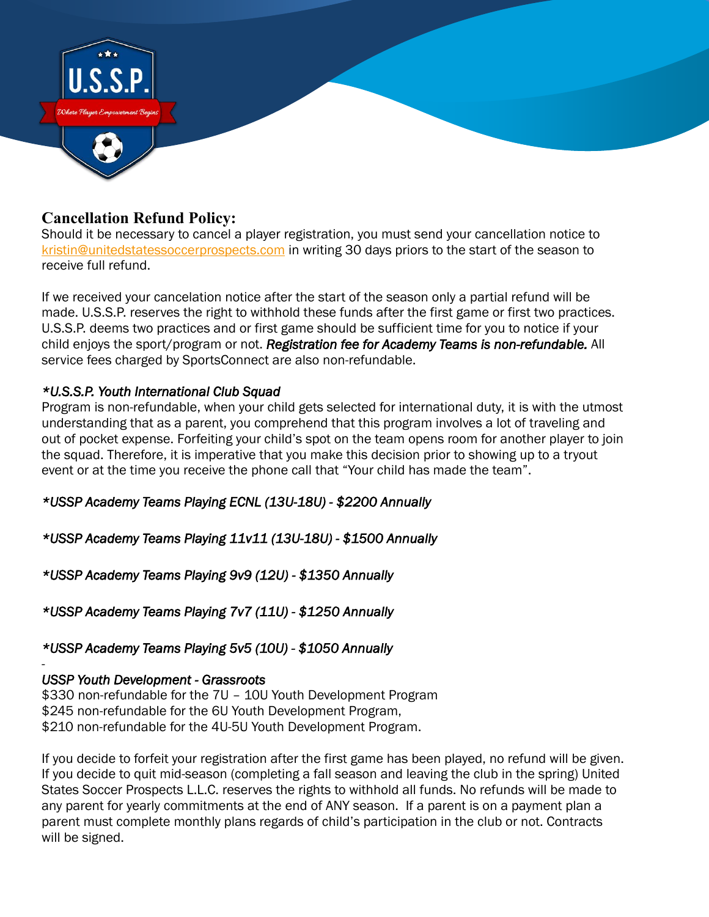

# **Cancellation Refund Policy:**

Should it be necessary to cancel a player registration, you must send your cancellation notice to [kristin@unitedstatessoccerprospects.com](mailto:kristin@unitedstatessoccerprospects.com) in writing 30 days priors to the start of the season to receive full refund.

If we received your cancelation notice after the start of the season only a partial refund will be made. U.S.S.P. reserves the right to withhold these funds after the first game or first two practices. U.S.S.P. deems two practices and or first game should be sufficient time for you to notice if your child enjoys the sport/program or not. *Registration fee for Academy Teams is non-refundable.* All service fees charged by SportsConnect are also non-refundable.

### *\*U.S.S.P. Youth International Club Squad*

Program is non-refundable, when your child gets selected for international duty, it is with the utmost understanding that as a parent, you comprehend that this program involves a lot of traveling and out of pocket expense. Forfeiting your child's spot on the team opens room for another player to join the squad. Therefore, it is imperative that you make this decision prior to showing up to a tryout event or at the time you receive the phone call that "Your child has made the team".

*\*USSP Academy Teams Playing ECNL (13U-18U) - \$2200 Annually* 

*\*USSP Academy Teams Playing 11v11 (13U-18U) - \$1500 Annually* 

*\*USSP Academy Teams Playing 9v9 (12U) - \$1350 Annually* 

*\*USSP Academy Teams Playing 7v7 (11U) - \$1250 Annually* 

### *\*USSP Academy Teams Playing 5v5 (10U) - \$1050 Annually*

### *USSP Youth Development - Grassroots*

-

\$330 non-refundable for the 7U – 10U Youth Development Program \$245 non-refundable for the 6U Youth Development Program, \$210 non-refundable for the 4U-5U Youth Development Program.

If you decide to forfeit your registration after the first game has been played, no refund will be given. If you decide to quit mid-season (completing a fall season and leaving the club in the spring) United States Soccer Prospects L.L.C. reserves the rights to withhold all funds. No refunds will be made to any parent for yearly commitments at the end of ANY season. If a parent is on a payment plan a parent must complete monthly plans regards of child's participation in the club or not. Contracts will be signed.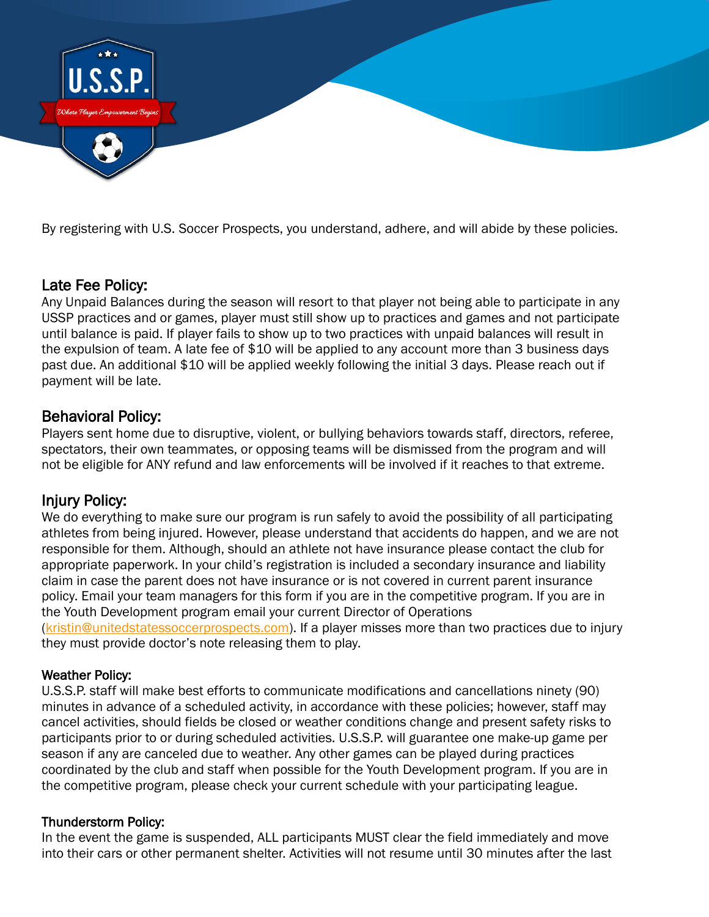

By registering with U.S. Soccer Prospects, you understand, adhere, and will abide by these policies.

# Late Fee Policy:

Any Unpaid Balances during the season will resort to that player not being able to participate in any USSP practices and or games, player must still show up to practices and games and not participate until balance is paid. If player fails to show up to two practices with unpaid balances will result in the expulsion of team. A late fee of \$10 will be applied to any account more than 3 business days past due. An additional \$10 will be applied weekly following the initial 3 days. Please reach out if payment will be late.

## Behavioral Policy:

Players sent home due to disruptive, violent, or bullying behaviors towards staff, directors, referee, spectators, their own teammates, or opposing teams will be dismissed from the program and will not be eligible for ANY refund and law enforcements will be involved if it reaches to that extreme.

# Injury Policy:

We do everything to make sure our program is run safely to avoid the possibility of all participating athletes from being injured. However, please understand that accidents do happen, and we are not responsible for them. Although, should an athlete not have insurance please contact the club for appropriate paperwork. In your child's registration is included a secondary insurance and liability claim in case the parent does not have insurance or is not covered in current parent insurance policy. Email your team managers for this form if you are in the competitive program. If you are in the Youth Development program email your current Director of Operations [\(kristin@unitedstatessoccerprospects.com\)](mailto:kristin@unitedstatessoccerprospects.com). If a player misses more than two practices due to injury they must provide doctor's note releasing them to play.

### Weather Policy:

U.S.S.P. staff will make best efforts to communicate modifications and cancellations ninety (90) minutes in advance of a scheduled activity, in accordance with these policies; however, staff may cancel activities, should fields be closed or weather conditions change and present safety risks to participants prior to or during scheduled activities. U.S.S.P. will guarantee one make-up game per season if any are canceled due to weather. Any other games can be played during practices coordinated by the club and staff when possible for the Youth Development program. If you are in the competitive program, please check your current schedule with your participating league.

### Thunderstorm Policy:

In the event the game is suspended, ALL participants MUST clear the field immediately and move into their cars or other permanent shelter. Activities will not resume until 30 minutes after the last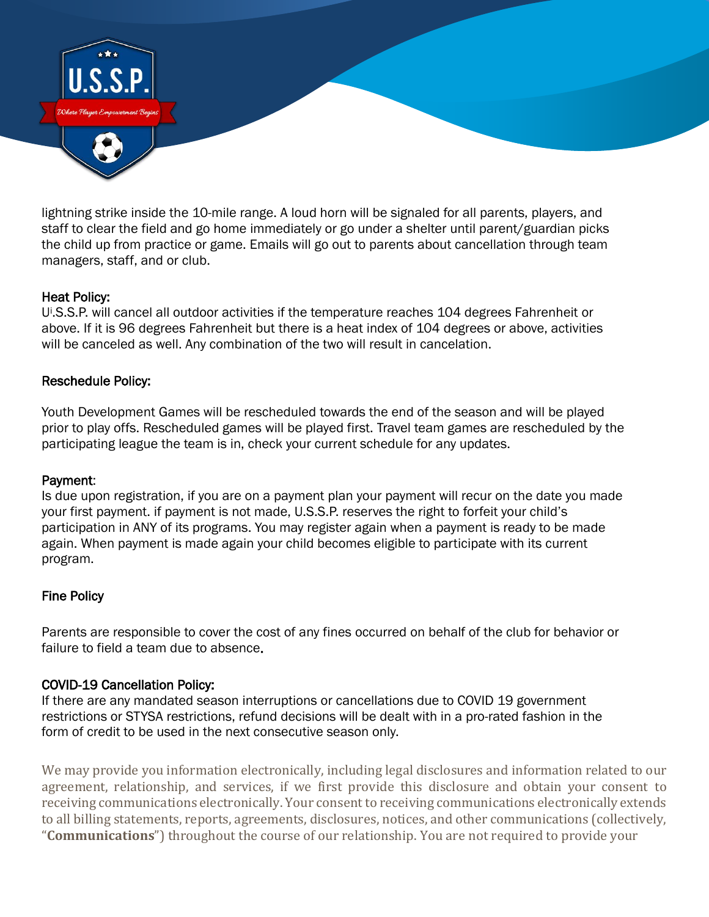

lightning strike inside the 10-mile range. A loud horn will be signaled for all parents, players, and staff to clear the field and go home immediately or go under a shelter until parent/guardian picks the child up from practice or game. Emails will go out to parents about cancellation through team managers, staff, and or club.

#### Heat Policy:

Ui .S.S.P. will cancel all outdoor activities if the temperature reaches 104 degrees Fahrenheit or above. If it is 96 degrees Fahrenheit but there is a heat index of 104 degrees or above, activities will be canceled as well. Any combination of the two will result in cancelation.

#### Reschedule Policy:

Youth Development Games will be rescheduled towards the end of the season and will be played prior to play offs. Rescheduled games will be played first. Travel team games are rescheduled by the participating league the team is in, check your current schedule for any updates.

#### Payment:

Is due upon registration, if you are on a payment plan your payment will recur on the date you made your first payment. if payment is not made, U.S.S.P. reserves the right to forfeit your child's participation in ANY of its programs. You may register again when a payment is ready to be made again. When payment is made again your child becomes eligible to participate with its current program.

#### Fine Policy

Parents are responsible to cover the cost of any fines occurred on behalf of the club for behavior or failure to field a team due to absence.

#### COVID-19 Cancellation Policy:

If there are any mandated season interruptions or cancellations due to COVID 19 government restrictions or STYSA restrictions, refund decisions will be dealt with in a pro-rated fashion in the form of credit to be used in the next consecutive season only.

We may provide you information electronically, including legal disclosures and information related to our agreement, relationship, and services, if we first provide this disclosure and obtain your consent to receiving communications electronically. Your consent to receiving communications electronically extends to all billing statements, reports, agreements, disclosures, notices, and other communications (collectively, "**Communications**") throughout the course of our relationship. You are not required to provide your